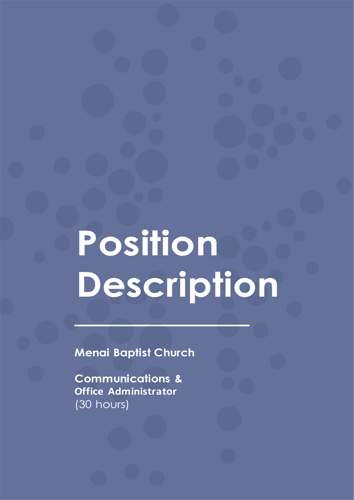# **Position Description**

**Menai Baptist Church**

**Communications & Office Administrator** (30 hours)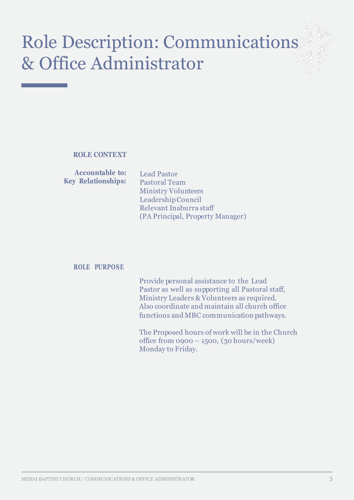# Role Description: Communications & Office Administrator

**ROLE CONTEXT**

**Accountable to: Key Relationships:**

Lead Pastor Pastoral Team Ministry Volunteers LeadershipCouncil Relevant Inaburra staff (PA Principal, Property Manager)

### **ROLE PURPOSE**

Provide personal assistance to the Lead Pastor as well as supporting all Pastoral staff, Ministry Leaders & Volunteers as required. Also coordinate and maintain all church office functions and MBC communication pathways.

The Proposed hours of work will be in the Church office from 0900 – 1500, (30 hours/week) Monday to Friday.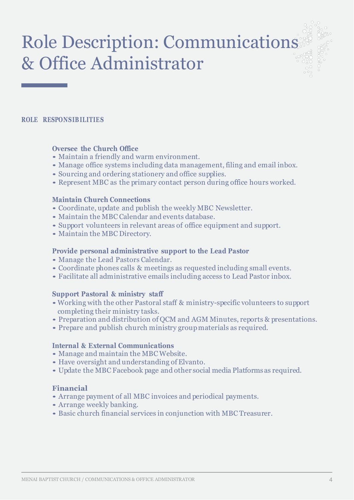# Role Description: Communications & Office Administrator

#### **ROLE RESPONSIB ILITIES**

#### **Oversee the Church Office**

- Maintain <sup>a</sup> friendly and warm environment.
- Manage office systems including data management, filing and email inbox.
- Sourcing and ordering stationery and office supplies.
- Represent MBC as the primary contact person during office hours worked.

#### **Maintain Church Connections**

- Coordinate, update and publish the weekly MBC Newsletter.
- Maintain the MBC Calendar and events database.
- Support volunteers in relevant areas of office equipment and support.
- Maintain the MBC Directory.

#### **Provide personal administrative support to the Lead Pastor**

- Manage the Lead Pastors Calendar.
- Coordinate phones calls & meetings as requested including small events.
- Facilitate all administrative emails including access to Lead Pastor inbox.

### **Support Pastoral & ministry staff**

- •Working with the other Pastoral staff & ministry-specific volunteers to support completing their ministry tasks.
- Preparation and distribution of QCM and AGM Minutes, reports & presentations.
- Prepare and publish church ministry groupmaterials as required.

#### **Internal & External Communications**

- Manage and maintain the MBC Website.
- Have oversight and understanding of Elvanto.
- Update the MBC Facebook page and other social media Platforms as required.

### **Financial**

- Arrange payment of all MBC invoices and periodical payments.
- Arrange weekly banking.
- Basic church financial services in conjunction with MBC Treasurer.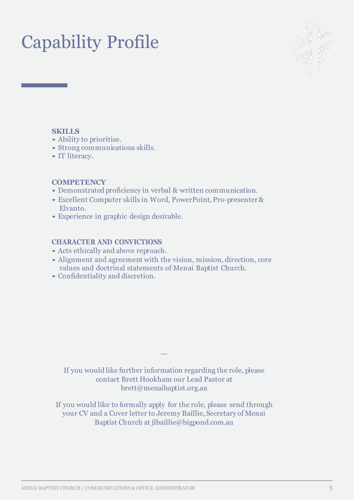# Capability Profile



# **SKILLS**

- Ability to prioritise.
- Strong communications skills.
- IT literacy.

## **COMPETENCY**

- Demonstrated proficiency in verbal & written communication.
- Excellent Computer skills in Word, PowerPoint, Pro-presenter & Elvanto.
- Experience in graphic design desirable.

## **CHARACTER AND CONVICTIONS**

- Acts ethically and above reproach.
- Alignment and agreement with the vision, mission, direction, core values and doctrinal statements of Menai Baptist Church.
- Confidentiality and discretion.

If you would like further information regarding the role, please contact Brett Hookham our Lead Pastor at brett@menaibaptist.org.au

—

If you would like to formally apply for the role, please send through your CV and a Cover letter to Jeremy Baillie, Secretary of Menai Baptist Church at jlbaillie@bigpond.com.au